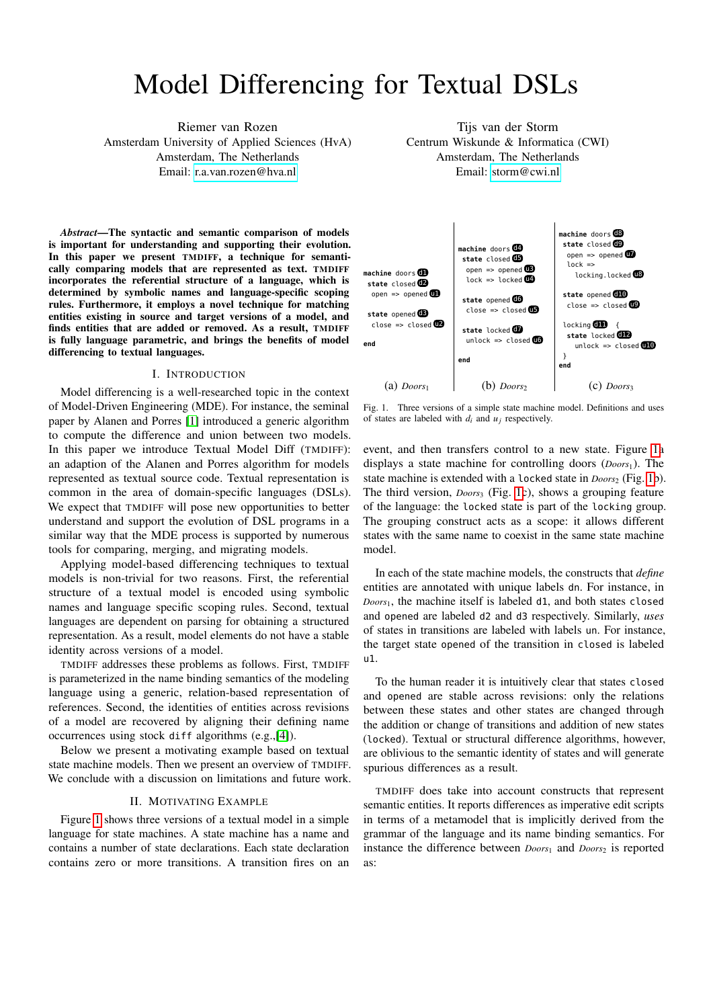# Model Differencing for Textual DSLs

Riemer van Rozen Amsterdam University of Applied Sciences (HvA) Amsterdam, The Netherlands Email:<r.a.van.rozen@hva.nl>

*Abstract*—The syntactic and semantic comparison of models is important for understanding and supporting their evolution. In this paper we present TMDIFF, a technique for semantically comparing models that are represented as text. TMDIFF incorporates the referential structure of a language, which is determined by symbolic names and language-specific scoping rules. Furthermore, it employs a novel technique for matching entities existing in source and target versions of a model, and finds entities that are added or removed. As a result, TMDIFF is fully language parametric, and brings the benefits of model differencing to textual languages.

# I. INTRODUCTION

Model differencing is a well-researched topic in the context of Model-Driven Engineering (MDE). For instance, the seminal paper by Alanen and Porres [\[1\]](#page-1-0) introduced a generic algorithm to compute the difference and union between two models. In this paper we introduce Textual Model Diff (TMDIFF): an adaption of the Alanen and Porres algorithm for models represented as textual source code. Textual representation is common in the area of domain-specific languages (DSLs). We expect that TMDIFF will pose new opportunities to better understand and support the evolution of DSL programs in a similar way that the MDE process is supported by numerous tools for comparing, merging, and migrating models.

Applying model-based differencing techniques to textual models is non-trivial for two reasons. First, the referential structure of a textual model is encoded using symbolic names and language specific scoping rules. Second, textual languages are dependent on parsing for obtaining a structured representation. As a result, model elements do not have a stable identity across versions of a model.

TMDIFF addresses these problems as follows. First, TMDIFF is parameterized in the name binding semantics of the modeling language using a generic, relation-based representation of references. Second, the identities of entities across revisions of a model are recovered by aligning their defining name occurrences using stock diff algorithms (e.g.,[\[4\]](#page-1-1)).

Below we present a motivating example based on textual state machine models. Then we present an overview of TMDIFF. We conclude with a discussion on limitations and future work.

### II. MOTIVATING EXAMPLE

Figure [1](#page-0-0) shows three versions of a textual model in a simple language for state machines. A state machine has a name and contains a number of state declarations. Each state declaration contains zero or more transitions. A transition fires on an

Tijs van der Storm Centrum Wiskunde & Informatica (CWI) Amsterdam, The Netherlands Email:<storm@cwi.nl>



<span id="page-0-0"></span>Fig. 1. Three versions of a simple state machine model. Definitions and uses of states are labeled with  $d_i$  and  $u_j$  respectively.

event, and then transfers control to a new state. Figure [1a](#page-0-0) displays a state machine for controlling doors (*Doors*1). The state machine is extended with a locked state in *Doors*<sub>2</sub> (Fig. [1b](#page-0-0)). The third version, *Doors*<sup>3</sup> (Fig. [1c](#page-0-0)), shows a grouping feature of the language: the locked state is part of the locking group. The grouping construct acts as a scope: it allows different states with the same name to coexist in the same state machine model.

In each of the state machine models, the constructs that *define* entities are annotated with unique labels dn. For instance, in *Doors*1, the machine itself is labeled d1, and both states closed and opened are labeled d2 and d3 respectively. Similarly, *uses* of states in transitions are labeled with labels un. For instance, the target state opened of the transition in closed is labeled u1.

To the human reader it is intuitively clear that states closed and opened are stable across revisions: only the relations between these states and other states are changed through the addition or change of transitions and addition of new states (locked). Textual or structural difference algorithms, however, are oblivious to the semantic identity of states and will generate spurious differences as a result.

TMDIFF does take into account constructs that represent semantic entities. It reports differences as imperative edit scripts in terms of a metamodel that is implicitly derived from the grammar of the language and its name binding semantics. For instance the difference between *Doors*<sup>1</sup> and *Doors*<sup>2</sup> is reported as: